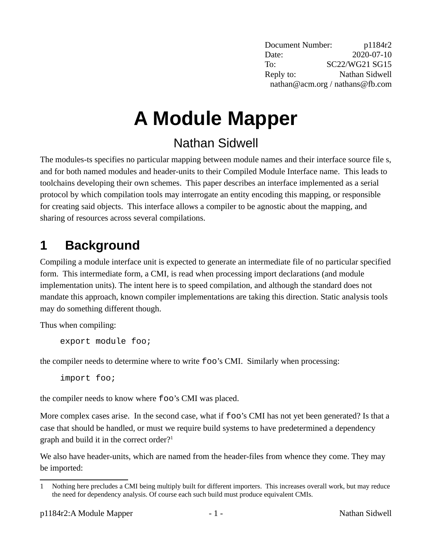Document Number: p1184r2 Date: 2020-07-10 To: SC22/WG21 SG15 Reply to: Nathan Sidwell nathan@acm.org / nathans@fb.com

# **A Module Mapper**

## Nathan Sidwell

The modules-ts specifies no particular mapping between module names and their interface source file s, and for both named modules and header-units to their Compiled Module Interface name. This leads to toolchains developing their own schemes. This paper describes an interface implemented as a serial protocol by which compilation tools may interrogate an entity encoding this mapping, or responsible for creating said objects. This interface allows a compiler to be agnostic about the mapping, and sharing of resources across several compilations.

# **1 Background**

Compiling a module interface unit is expected to generate an intermediate file of no particular specified form. This intermediate form, a CMI, is read when processing import declarations (and module implementation units). The intent here is to speed compilation, and although the standard does not mandate this approach, known compiler implementations are taking this direction. Static analysis tools may do something different though.

Thus when compiling:

export module foo;

the compiler needs to determine where to write foo's CMI. Similarly when processing:

import foo;

the compiler needs to know where foo's CMI was placed.

More complex cases arise. In the second case, what if foo's CMI has not yet been generated? Is that a case that should be handled, or must we require build systems to have predetermined a dependency graph and build it in the correct order? $1$ 

We also have header-units, which are named from the header-files from whence they come. They may be imported:

<span id="page-0-0"></span><sup>1</sup> Nothing here precludes a CMI being multiply built for different importers. This increases overall work, but may reduce the need for dependency analysis. Of course each such build must produce equivalent CMIs.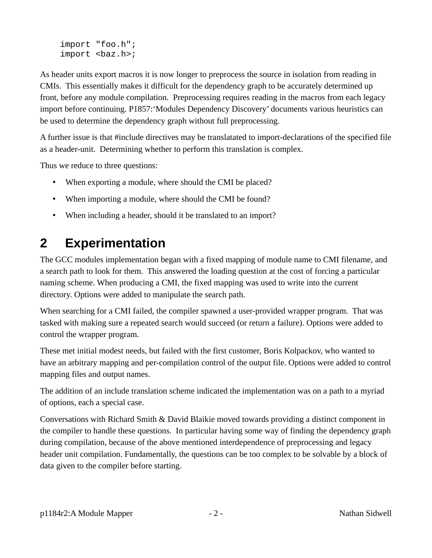import "foo.h";  $import$   $<$ baz.h>;

As header units export macros it is now longer to preprocess the source in isolation from reading in CMIs. This essentially makes it difficult for the dependency graph to be accurately determined up front, before any module compilation. Preprocessing requires reading in the macros from each legacy import before continuing. P1857:'Modules Dependency Discovery' documents various heuristics can be used to determine the dependency graph without full preprocessing.

A further issue is that #include directives may be translatated to import-declarations of the specified file as a header-unit. Determining whether to perform this translation is complex.

Thus we reduce to three questions:

- When exporting a module, where should the CMI be placed?
- When importing a module, where should the CMI be found?
- When including a header, should it be translated to an import?

## **2 Experimentation**

The GCC modules implementation began with a fixed mapping of module name to CMI filename, and a search path to look for them. This answered the loading question at the cost of forcing a particular naming scheme. When producing a CMI, the fixed mapping was used to write into the current directory. Options were added to manipulate the search path.

When searching for a CMI failed, the compiler spawned a user-provided wrapper program. That was tasked with making sure a repeated search would succeed (or return a failure). Options were added to control the wrapper program.

These met initial modest needs, but failed with the first customer, Boris Kolpackov, who wanted to have an arbitrary mapping and per-compilation control of the output file. Options were added to control mapping files and output names.

The addition of an include translation scheme indicated the implementation was on a path to a myriad of options, each a special case.

Conversations with Richard Smith & David Blaikie moved towards providing a distinct component in the compiler to handle these questions. In particular having some way of finding the dependency graph during compilation, because of the above mentioned interdependence of preprocessing and legacy header unit compilation. Fundamentally, the questions can be too complex to be solvable by a block of data given to the compiler before starting.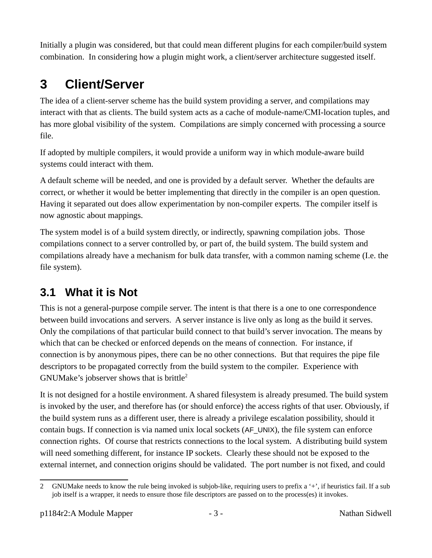Initially a plugin was considered, but that could mean different plugins for each compiler/build system combination. In considering how a plugin might work, a client/server architecture suggested itself.

# <span id="page-2-2"></span>**3 Client/Server**

The idea of a client-server scheme has the build system providing a server, and compilations may interact with that as clients. The build system acts as a cache of module-name/CMI-location tuples, and has more global visibility of the system. Compilations are simply concerned with processing a source file.

If adopted by multiple compilers, it would provide a uniform way in which module-aware build systems could interact with them.

A default scheme will be needed, and one is provided by a default server. Whether the defaults are correct, or whether it would be better implementing that directly in the compiler is an open question. Having it separated out does allow experimentation by non-compiler experts. The compiler itself is now agnostic about mappings.

The system model is of a build system directly, or indirectly, spawning compilation jobs. Those compilations connect to a server controlled by, or part of, the build system. The build system and compilations already have a mechanism for bulk data transfer, with a common naming scheme (I.e. the file system).

## <span id="page-2-1"></span>**3.1 What it is Not**

This is not a general-purpose compile server. The intent is that there is a one to one correspondence between build invocations and servers. A server instance is live only as long as the build it serves. Only the compilations of that particular build connect to that build's server invocation. The means by which that can be checked or enforced depends on the means of connection. For instance, if connection is by anonymous pipes, there can be no other connections. But that requires the pipe file descriptors to be propagated correctly from the build system to the compiler. Experience with GNUMake's jobserver shows that is brittle<sup>[2](#page-2-0)</sup>

It is not designed for a hostile environment. A shared filesystem is already presumed. The build system is invoked by the user, and therefore has (or should enforce) the access rights of that user. Obviously, if the build system runs as a different user, there is already a privilege escalation possibility, should it contain bugs. If connection is via named unix local sockets (AF\_UNIX), the file system can enforce connection rights. Of course that restricts connections to the local system. A distributing build system will need something different, for instance IP sockets. Clearly these should not be exposed to the external internet, and connection origins should be validated. The port number is not fixed, and could

<span id="page-2-0"></span><sup>2</sup> GNUMake needs to know the rule being invoked is subjob-like, requiring users to prefix a '+', if heuristics fail. If a sub job itself is a wrapper, it needs to ensure those file descriptors are passed on to the process(es) it invokes.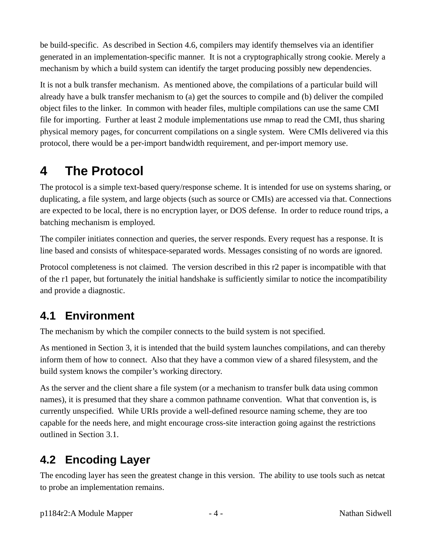be build-specific. As described in Section [4.6](#page-6-0), compilers may identify themselves via an identifier generated in an implementation-specific manner. It is not a cryptographically strong cookie. Merely a mechanism by which a build system can identify the target producing possibly new dependencies.

It is not a bulk transfer mechanism. As mentioned above, the compilations of a particular build will already have a bulk transfer mechanism to (a) get the sources to compile and (b) deliver the compiled object files to the linker. In common with header files, multiple compilations can use the same CMI file for importing. Further at least 2 module implementations use mmap to read the CMI, thus sharing physical memory pages, for concurrent compilations on a single system. Were CMIs delivered via this protocol, there would be a per-import bandwidth requirement, and per-import memory use.

# **4 The Protocol**

The protocol is a simple text-based query/response scheme. It is intended for use on systems sharing, or duplicating, a file system, and large objects (such as source or CMIs) are accessed via that. Connections are expected to be local, there is no encryption layer, or DOS defense. In order to reduce round trips, a batching mechanism is employed.

The compiler initiates connection and queries, the server responds. Every request has a response. It is line based and consists of whitespace-separated words. Messages consisting of no words are ignored.

Protocol completeness is not claimed. The version described in this r2 paper is incompatible with that of the r1 paper, but fortunately the initial handshake is sufficiently similar to notice the incompatibility and provide a diagnostic.

#### <span id="page-3-0"></span>**4.1 Environment**

The mechanism by which the compiler connects to the build system is not specified.

As mentioned in Section [3](#page-2-2), it is intended that the build system launches compilations, and can thereby inform them of how to connect. Also that they have a common view of a shared filesystem, and the build system knows the compiler's working directory.

As the server and the client share a file system (or a mechanism to transfer bulk data using common names), it is presumed that they share a common pathname convention. What that convention is, is currently unspecified. While URIs provide a well-defined resource naming scheme, they are too capable for the needs here, and might encourage cross-site interaction going against the restrictions outlined in Section [3.1](#page-2-1).

#### **4.2 Encoding Layer**

The encoding layer has seen the greatest change in this version. The ability to use tools such as netcat to probe an implementation remains.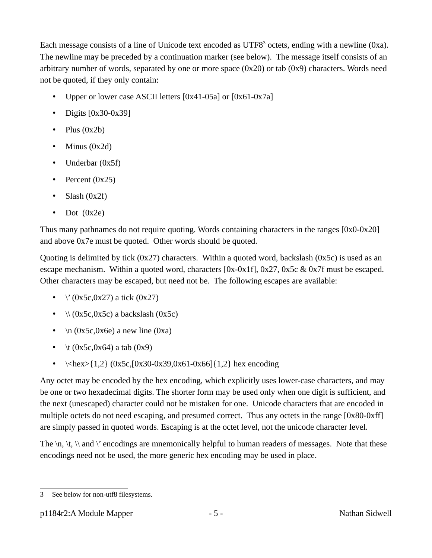Each message consists of a line of Unicode text encoded as UTF8<sup>[3](#page-4-0)</sup> octets, ending with a newline (0xa). The newline may be preceded by a continuation marker (see below). The message itself consists of an arbitrary number of words, separated by one or more space (0x20) or tab (0x9) characters. Words need not be quoted, if they only contain:

- Upper or lower case ASCII letters [0x41-05a] or [0x61-0x7a]
- Digits  $[0x30-0x39]$
- Plus  $(0x2b)$
- Minus (0x2d)
- Underbar (0x5f)
- Percent (0x25)
- Slash (0x2f)
- Dot  $(0x2e)$

Thus many pathnames do not require quoting. Words containing characters in the ranges [0x0-0x20] and above 0x7e must be quoted. Other words should be quoted.

Quoting is delimited by tick  $(0x27)$  characters. Within a quoted word, backslash  $(0x5c)$  is used as an escape mechanism. Within a quoted word, characters  $[0x-0x1f]$ ,  $0x27$ ,  $0x5c$  &  $0x7f$  must be escaped. Other characters may be escaped, but need not be. The following escapes are available:

- $\sqrt{(0x5c,0x27)}$  a tick  $(0x27)$
- $\sqrt{(0x5c,0x5c)}$  a backslash  $(0x5c)$
- $\ln (0x5c,0x6e)$  a new line  $(0xa)$
- \t  $(0x5c,0x64)$  a tab  $(0x9)$
- $\langle$ kex>{1,2} (0x5c,[0x30-0x39,0x61-0x66]{1,2} hex encoding

Any octet may be encoded by the hex encoding, which explicitly uses lower-case characters, and may be one or two hexadecimal digits. The shorter form may be used only when one digit is sufficient, and the next (unescaped) character could not be mistaken for one. Unicode characters that are encoded in multiple octets do not need escaping, and presumed correct. Thus any octets in the range [0x80-0xff] are simply passed in quoted words. Escaping is at the octet level, not the unicode character level.

The  $\ln$ ,  $\ln$ ,  $\ln$  and  $\ln$  encodings are mnemonically helpful to human readers of messages. Note that these encodings need not be used, the more generic hex encoding may be used in place.

<span id="page-4-0"></span><sup>3</sup> See below for non-utf8 filesystems.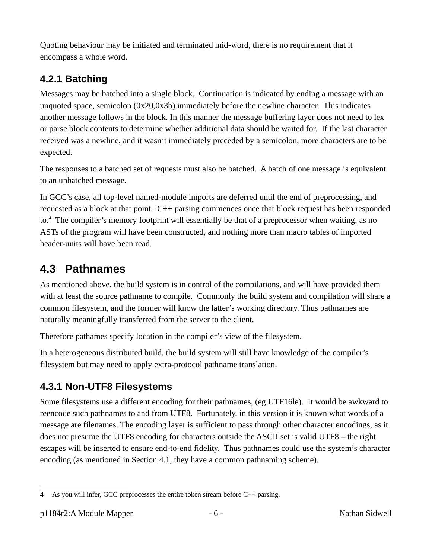Quoting behaviour may be initiated and terminated mid-word, there is no requirement that it encompass a whole word.

#### **4.2.1 Batching**

Messages may be batched into a single block. Continuation is indicated by ending a message with an unquoted space, semicolon (0x20,0x3b) immediately before the newline character. This indicates another message follows in the block. In this manner the message buffering layer does not need to lex or parse block contents to determine whether additional data should be waited for. If the last character received was a newline, and it wasn't immediately preceded by a semicolon, more characters are to be expected.

The responses to a batched set of requests must also be batched. A batch of one message is equivalent to an unbatched message.

In GCC's case, all top-level named-module imports are deferred until the end of preprocessing, and requested as a block at that point. C<sup>++</sup> parsing commences once that block request has been responded to.<sup>[4](#page-5-0)</sup> The compiler's memory footprint will essentially be that of a preprocessor when waiting, as no ASTs of the program will have been constructed, and nothing more than macro tables of imported header-units will have been read.

#### **4.3 Pathnames**

As mentioned above, the build system is in control of the compilations, and will have provided them with at least the source pathname to compile. Commonly the build system and compilation will share a common filesystem, and the former will know the latter's working directory. Thus pathnames are naturally meaningfully transferred from the server to the client.

Therefore pathames specify location in the compiler's view of the filesystem.

In a heterogeneous distributed build, the build system will still have knowledge of the compiler's filesystem but may need to apply extra-protocol pathname translation.

#### **4.3.1 Non-UTF8 Filesystems**

Some filesystems use a different encoding for their pathnames, (eg UTF16le). It would be awkward to reencode such pathnames to and from UTF8. Fortunately, in this version it is known what words of a message are filenames. The encoding layer is sufficient to pass through other character encodings, as it does not presume the UTF8 encoding for characters outside the ASCII set is valid UTF8 – the right escapes will be inserted to ensure end-to-end fidelity. Thus pathnames could use the system's character encoding (as mentioned in Section [4.1,](#page-3-0) they have a common pathnaming scheme).

<span id="page-5-0"></span><sup>4</sup> As you will infer, GCC preprocesses the entire token stream before C++ parsing.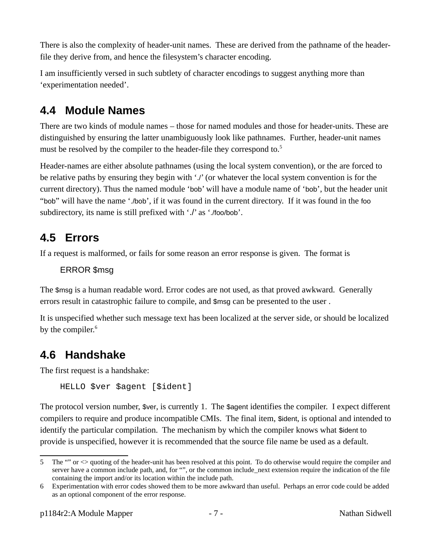There is also the complexity of header-unit names. These are derived from the pathname of the headerfile they derive from, and hence the filesystem's character encoding.

I am insufficiently versed in such subtlety of character encodings to suggest anything more than 'experimentation needed'.

#### <span id="page-6-3"></span>**4.4 Module Names**

There are two kinds of module names – those for named modules and those for header-units. These are distinguished by ensuring the latter unambiguously look like pathnames. Further, header-unit names must be resolved by the compiler to the header-file they correspond to.<sup>[5](#page-6-1)</sup>

Header-names are either absolute pathnames (using the local system convention), or the are forced to be relative paths by ensuring they begin with './' (or whatever the local system convention is for the current directory). Thus the named module 'bob' will have a module name of 'bob', but the header unit "bob" will have the name './bob', if it was found in the current directory. If it was found in the foo subdirectory, its name is still prefixed with './' as './foo/bob'.

#### **4.5 Errors**

If a request is malformed, or fails for some reason an error response is given. The format is

ERROR \$msg

The \$msg is a human readable word. Error codes are not used, as that proved awkward. Generally errors result in catastrophic failure to compile, and \$msg can be presented to the user .

It is unspecified whether such message text has been localized at the server side, or should be localized by the compiler.<sup>[6](#page-6-2)</sup>

#### <span id="page-6-0"></span>**4.6 Handshake**

The first request is a handshake:

HELLO \$ver \$agent [\$ident]

The protocol version number, \$ver, is currently 1. The \$agent identifies the compiler. I expect different compilers to require and produce incompatible CMIs. The final item, \$ident, is optional and intended to identify the particular compilation. The mechanism by which the compiler knows what \$ident to provide is unspecified, however it is recommended that the source file name be used as a default.

<span id="page-6-1"></span><sup>5</sup> The "" or <> quoting of the header-unit has been resolved at this point. To do otherwise would require the compiler and server have a common include path, and, for "", or the common include next extension require the indication of the file containing the import and/or its location within the include path.

<span id="page-6-2"></span><sup>6</sup> Experimentation with error codes showed them to be more awkward than useful. Perhaps an error code could be added as an optional component of the error response.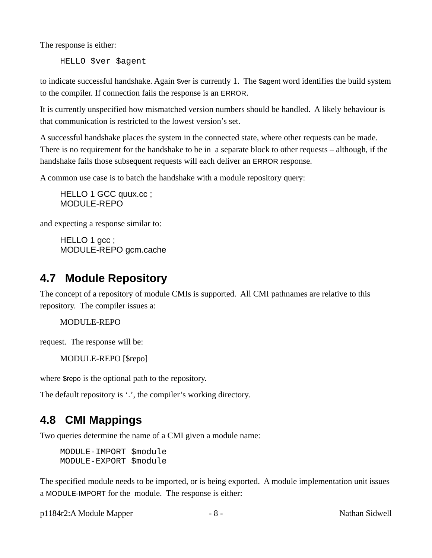The response is either:

HELLO \$ver \$agent

to indicate successful handshake. Again \$ver is currently 1. The \$agent word identifies the build system to the compiler. If connection fails the response is an ERROR.

It is currently unspecified how mismatched version numbers should be handled. A likely behaviour is that communication is restricted to the lowest version's set.

A successful handshake places the system in the connected state, where other requests can be made. There is no requirement for the handshake to be in a separate block to other requests – although, if the handshake fails those subsequent requests will each deliver an ERROR response.

A common use case is to batch the handshake with a module repository query:

HELLO 1 GCC quux.cc ; MODULE-REPO

and expecting a response similar to:

HELLO 1 gcc; MODULE-REPO gcm.cache

#### **4.7 Module Repository**

The concept of a repository of module CMIs is supported. All CMI pathnames are relative to this repository. The compiler issues a:

MODULE-REPO

request. The response will be:

MODULE-REPO [\$repo]

where \$repo is the optional path to the repository.

The default repository is '.', the compiler's working directory.

#### **4.8 CMI Mappings**

Two queries determine the name of a CMI given a module name:

MODULE-IMPORT \$module MODULE-EXPORT \$module

The specified module needs to be imported, or is being exported. A module implementation unit issues a MODULE-IMPORT for the module. The response is either:

p1184r2:A Module Mapper - 8 - 8 - Nathan Sidwell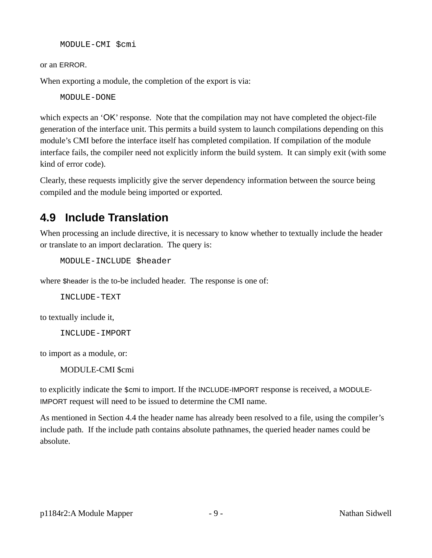MODULE-CMI \$cmi

or an ERROR.

When exporting a module, the completion of the export is via:

MODULE-DONE

which expects an 'OK' response. Note that the compilation may not have completed the object-file generation of the interface unit. This permits a build system to launch compilations depending on this module's CMI before the interface itself has completed compilation. If compilation of the module interface fails, the compiler need not explicitly inform the build system. It can simply exit (with some kind of error code).

Clearly, these requests implicitly give the server dependency information between the source being compiled and the module being imported or exported.

#### **4.9 Include Translation**

When processing an include directive, it is necessary to know whether to textually include the header or translate to an import declaration. The query is:

MODULE-INCLUDE \$header

where \$header is the to-be included header. The response is one of:

INCLUDE-TEXT

to textually include it,

INCLUDE-IMPORT

to import as a module, or:

MODULE-CMI \$cmi

to explicitly indicate the \$cmi to import. If the INCLUDE-IMPORT response is received, a MODULE-IMPORT request will need to be issued to determine the CMI name.

As mentioned in Section [4.4](#page-6-3) the header name has already been resolved to a file, using the compiler's include path. If the include path contains absolute pathnames, the queried header names could be absolute.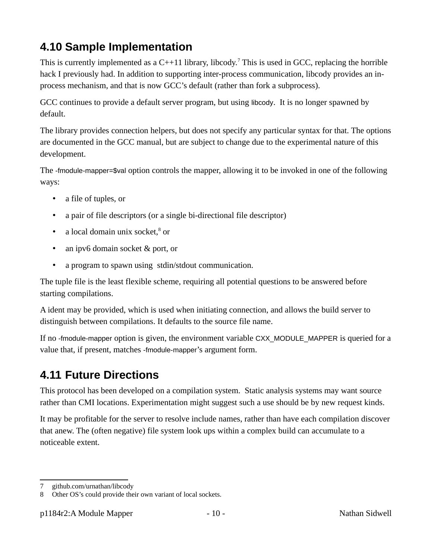## **4.10 Sample Implementation**

This is currently implemented as a  $C^{++}11$  library, libcody.<sup>[7](#page-9-0)</sup> This is used in GCC, replacing the horrible hack I previously had. In addition to supporting inter-process communication, libcody provides an inprocess mechanism, and that is now GCC's default (rather than fork a subprocess).

GCC continues to provide a default server program, but using libcody. It is no longer spawned by default.

The library provides connection helpers, but does not specify any particular syntax for that. The options are documented in the GCC manual, but are subject to change due to the experimental nature of this development.

The -fmodule-mapper=\$val option controls the mapper, allowing it to be invoked in one of the following ways:

- a file of tuples, or
- a pair of file descriptors (or a single bi-directional file descriptor)
- a local domain unix socket,<sup>[8](#page-9-1)</sup> or
- an ipv6 domain socket & port, or
- a program to spawn using stdin/stdout communication.

The tuple file is the least flexible scheme, requiring all potential questions to be answered before starting compilations.

A ident may be provided, which is used when initiating connection, and allows the build server to distinguish between compilations. It defaults to the source file name.

If no -fmodule-mapper option is given, the environment variable CXX\_MODULE\_MAPPER is queried for a value that, if present, matches -fmodule-mapper's argument form.

#### **4.11 Future Directions**

This protocol has been developed on a compilation system. Static analysis systems may want source rather than CMI locations. Experimentation might suggest such a use should be by new request kinds.

It may be profitable for the server to resolve include names, rather than have each compilation discover that anew. The (often negative) file system look ups within a complex build can accumulate to a noticeable extent.

<span id="page-9-0"></span><sup>7</sup> github.com/urnathan/libcody

<span id="page-9-1"></span><sup>8</sup> Other OS's could provide their own variant of local sockets.